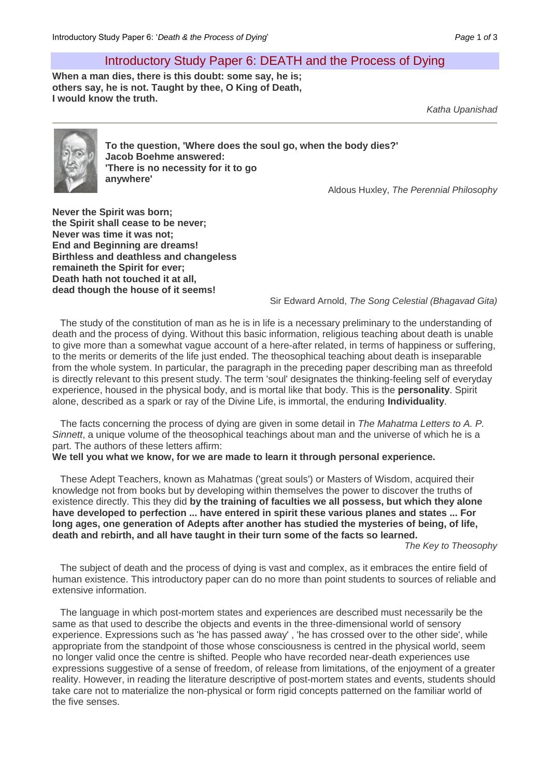## Introductory Study Paper 6: DEATH and the Process of Dying

**When a man dies, there is this doubt: some say, he is; others say, he is not. Taught by thee, O King of Death, I would know the truth.**

*Katha Upanishad*



**To the question, 'Where does the soul go, when the body dies?' Jacob Boehme answered: 'There is no necessity for it to go anywhere'**

Aldous Huxley, *The Perennial Philosophy*

**Never the Spirit was born; the Spirit shall cease to be never; Never was time it was not; End and Beginning are dreams! Birthless and deathless and changeless remaineth the Spirit for ever; Death hath not touched it at all, dead though the house of it seems!** 

Sir Edward Arnold, *The Song Celestial (Bhagavad Gita)*

The study of the constitution of man as he is in life is a necessary preliminary to the understanding of death and the process of dying. Without this basic information, religious teaching about death is unable to give more than a somewhat vague account of a here-after related, in terms of happiness or suffering, to the merits or demerits of the life just ended. The theosophical teaching about death is inseparable from the whole system. In particular, the paragraph in the preceding paper describing man as threefold is directly relevant to this present study. The term 'soul' designates the thinking-feeling self of everyday experience, housed in the physical body, and is mortal like that body. This is the **personality**. Spirit alone, described as a spark or ray of the Divine Life, is immortal, the enduring **Individuality**.

The facts concerning the process of dying are given in some detail in *The Mahatma Letters to A. P. Sinnett*, a unique volume of the theosophical teachings about man and the universe of which he is a part. The authors of these letters affirm:

**We tell you what we know, for we are made to learn it through personal experience.**

These Adept Teachers, known as Mahatmas ('great souls') or Masters of Wisdom, acquired their knowledge not from books but by developing within themselves the power to discover the truths of existence directly. This they did **by the training of faculties we all possess, but which they alone have developed to perfection ... have entered in spirit these various planes and states ... For long ages, one generation of Adepts after another has studied the mysteries of being, of life, death and rebirth, and all have taught in their turn some of the facts so learned.**

*The Key to Theosophy*

The subject of death and the process of dying is vast and complex, as it embraces the entire field of human existence. This introductory paper can do no more than point students to sources of reliable and extensive information.

The language in which post-mortem states and experiences are described must necessarily be the same as that used to describe the objects and events in the three-dimensional world of sensory experience. Expressions such as 'he has passed away' , 'he has crossed over to the other side', while appropriate from the standpoint of those whose consciousness is centred in the physical world, seem no longer valid once the centre is shifted. People who have recorded near-death experiences use expressions suggestive of a sense of freedom, of release from limitations, of the enjoyment of a greater reality. However, in reading the literature descriptive of post-mortem states and events, students should take care not to materialize the non-physical or form rigid concepts patterned on the familiar world of the five senses.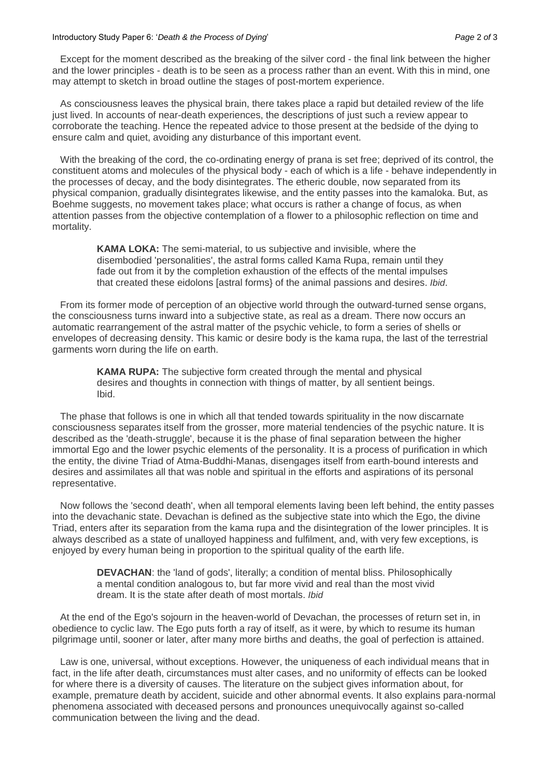## Introductory Study Paper 6: '*Death & the Process of Dying*' *Page* 2 *of* 3

Except for the moment described as the breaking of the silver cord - the final link between the higher and the lower principles - death is to be seen as a process rather than an event. With this in mind, one may attempt to sketch in broad outline the stages of post-mortem experience.

As consciousness leaves the physical brain, there takes place a rapid but detailed review of the life just lived. In accounts of near-death experiences, the descriptions of just such a review appear to corroborate the teaching. Hence the repeated advice to those present at the bedside of the dying to ensure calm and quiet, avoiding any disturbance of this important event.

With the breaking of the cord, the co-ordinating energy of prana is set free; deprived of its control, the constituent atoms and molecules of the physical body - each of which is a life - behave independently in the processes of decay, and the body disintegrates. The etheric double, now separated from its physical companion, gradually disintegrates likewise, and the entity passes into the kamaloka. But, as Boehme suggests, no movement takes place; what occurs is rather a change of focus, as when attention passes from the objective contemplation of a flower to a philosophic reflection on time and mortality.

**KAMA LOKA:** The semi-material, to us subjective and invisible, where the disembodied 'personalities', the astral forms called Kama Rupa, remain until they fade out from it by the completion exhaustion of the effects of the mental impulses that created these eidolons [astral forms} of the animal passions and desires. *Ibid*.

From its former mode of perception of an objective world through the outward-turned sense organs, the consciousness turns inward into a subjective state, as real as a dream. There now occurs an automatic rearrangement of the astral matter of the psychic vehicle, to form a series of shells or envelopes of decreasing density. This kamic or desire body is the kama rupa, the last of the terrestrial garments worn during the life on earth.

> **KAMA RUPA:** The subjective form created through the mental and physical desires and thoughts in connection with things of matter, by all sentient beings. Ibid.

The phase that follows is one in which all that tended towards spirituality in the now discarnate consciousness separates itself from the grosser, more material tendencies of the psychic nature. It is described as the 'death-struggle', because it is the phase of final separation between the higher immortal Ego and the lower psychic elements of the personality. It is a process of purification in which the entity, the divine Triad of Atma-Buddhi-Manas, disengages itself from earth-bound interests and desires and assimilates all that was noble and spiritual in the efforts and aspirations of its personal representative.

Now follows the 'second death', when all temporal elements laving been left behind, the entity passes into the devachanic state. Devachan is defined as the subjective state into which the Ego, the divine Triad, enters after its separation from the kama rupa and the disintegration of the lower principles. It is always described as a state of unalloyed happiness and fulfilment, and, with very few exceptions, is enjoyed by every human being in proportion to the spiritual quality of the earth life.

**DEVACHAN:** the 'land of gods', literally; a condition of mental bliss. Philosophically a mental condition analogous to, but far more vivid and real than the most vivid dream. It is the state after death of most mortals. *Ibid*

At the end of the Ego's sojourn in the heaven-world of Devachan, the processes of return set in, in obedience to cyclic law. The Ego puts forth a ray of itself, as it were, by which to resume its human pilgrimage until, sooner or later, after many more births and deaths, the goal of perfection is attained.

Law is one, universal, without exceptions. However, the uniqueness of each individual means that in fact, in the life after death, circumstances must alter cases, and no uniformity of effects can be looked for where there is a diversity of causes. The literature on the subject gives information about, for example, premature death by accident, suicide and other abnormal events. It also explains para-normal phenomena associated with deceased persons and pronounces unequivocally against so-called communication between the living and the dead.